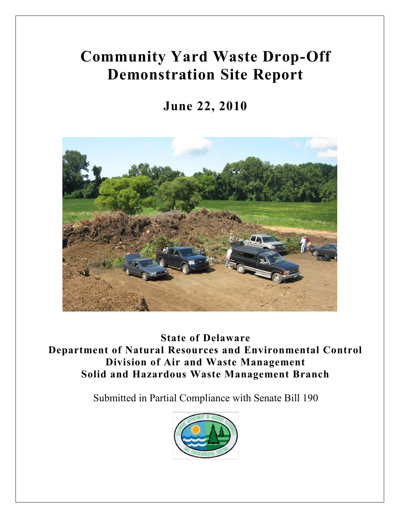# **Community Yard Waste Drop-Off Demonstration Site Report**

**June 22, 2010**



**State of Delaware Department of Natural Resources and Environmental Control Division of Air and Waste Management Solid and Hazardous Waste Management Branch**

Submitted in Partial Compliance with Senate Bill 190

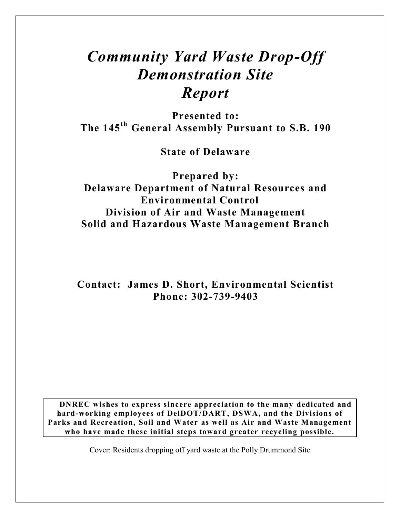# *Community Yard Waste Drop-Off Demonstration Site Report*

**Presented to: The 145th General Assembly Pursuant to S.B. 190**

**State of Delaware**

**Prepared by: Delaware Department of Natural Resources and Environmental Control Division of Air and Waste Management Solid and Hazardous Waste Management Branch**

**Contact: James D. Short, Environmental Scientist Phone: 302-739-9403**

**DNREC wishes to express sincere appreciation to the many dedicated and hard-working employees of DelDOT/DART, DSWA, and the Divisions of Parks and Recreation, Soil and Water as well as Air and Waste Management who have made these initial steps toward greater recycling possible.**

Cover: Residents dropping off yard waste at the Polly Drummond Site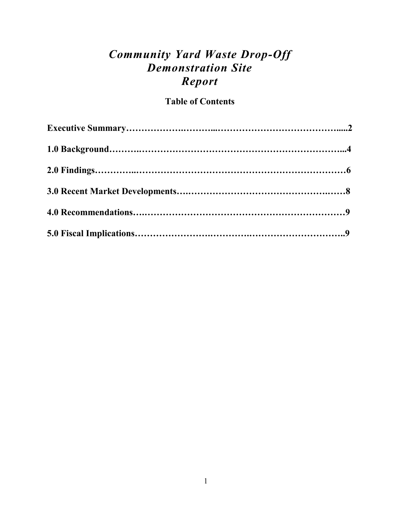# *Community Yard Waste Drop-Off Demonstration Site Report*

## **Table of Contents**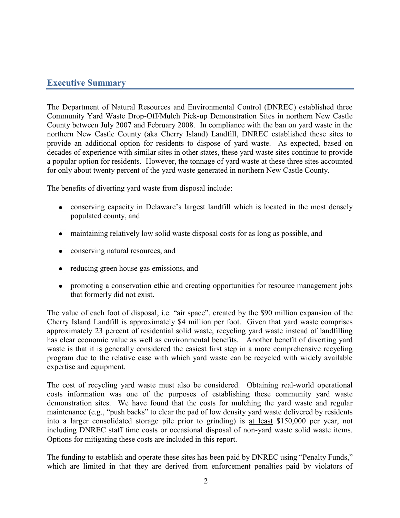### **Executive Summary**

The Department of Natural Resources and Environmental Control (DNREC) established three Community Yard Waste Drop-Off/Mulch Pick-up Demonstration Sites in northern New Castle County between July 2007 and February 2008. In compliance with the ban on yard waste in the northern New Castle County (aka Cherry Island) Landfill, DNREC established these sites to provide an additional option for residents to dispose of yard waste. As expected, based on decades of experience with similar sites in other states, these yard waste sites continue to provide a popular option for residents. However, the tonnage of yard waste at these three sites accounted for only about twenty percent of the yard waste generated in northern New Castle County.

The benefits of diverting yard waste from disposal include:

- conserving capacity in Delaware's largest landfill which is located in the most densely populated county, and
- maintaining relatively low solid waste disposal costs for as long as possible, and
- conserving natural resources, and
- reducing green house gas emissions, and
- promoting a conservation ethic and creating opportunities for resource management jobs that formerly did not exist.

The value of each foot of disposal, i.e. "air space", created by the \$90 million expansion of the Cherry Island Landfill is approximately \$4 million per foot. Given that yard waste comprises approximately 23 percent of residential solid waste, recycling yard waste instead of landfilling has clear economic value as well as environmental benefits. Another benefit of diverting yard waste is that it is generally considered the easiest first step in a more comprehensive recycling program due to the relative ease with which yard waste can be recycled with widely available expertise and equipment.

The cost of recycling yard waste must also be considered. Obtaining real-world operational costs information was one of the purposes of establishing these community yard waste demonstration sites. We have found that the costs for mulching the yard waste and regular maintenance (e.g., "push backs" to clear the pad of low density yard waste delivered by residents into a larger consolidated storage pile prior to grinding) is at least \$150,000 per year, not including DNREC staff time costs or occasional disposal of non-yard waste solid waste items. Options for mitigating these costs are included in this report.

The funding to establish and operate these sites has been paid by DNREC using "Penalty Funds," which are limited in that they are derived from enforcement penalties paid by violators of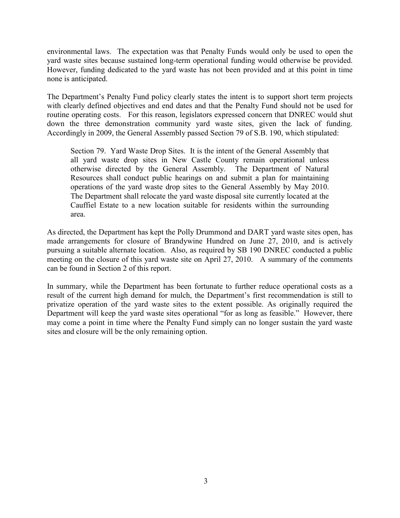environmental laws. The expectation was that Penalty Funds would only be used to open the yard waste sites because sustained long-term operational funding would otherwise be provided. However, funding dedicated to the yard waste has not been provided and at this point in time none is anticipated.

The Department's Penalty Fund policy clearly states the intent is to support short term projects with clearly defined objectives and end dates and that the Penalty Fund should not be used for routine operating costs. For this reason, legislators expressed concern that DNREC would shut down the three demonstration community yard waste sites, given the lack of funding. Accordingly in 2009, the General Assembly passed Section 79 of S.B. 190, which stipulated:

Section 79. Yard Waste Drop Sites. It is the intent of the General Assembly that all yard waste drop sites in New Castle County remain operational unless otherwise directed by the General Assembly. The Department of Natural Resources shall conduct public hearings on and submit a plan for maintaining operations of the yard waste drop sites to the General Assembly by May 2010. The Department shall relocate the yard waste disposal site currently located at the Cauffiel Estate to a new location suitable for residents within the surrounding area.

As directed, the Department has kept the Polly Drummond and DART yard waste sites open, has made arrangements for closure of Brandywine Hundred on June 27, 2010, and is actively pursuing a suitable alternate location. Also, as required by SB 190 DNREC conducted a public meeting on the closure of this yard waste site on April 27, 2010. A summary of the comments can be found in Section 2 of this report.

In summary, while the Department has been fortunate to further reduce operational costs as a result of the current high demand for mulch, the Department's first recommendation is still to privatize operation of the yard waste sites to the extent possible. As originally required the Department will keep the yard waste sites operational "for as long as feasible." However, there may come a point in time where the Penalty Fund simply can no longer sustain the yard waste sites and closure will be the only remaining option.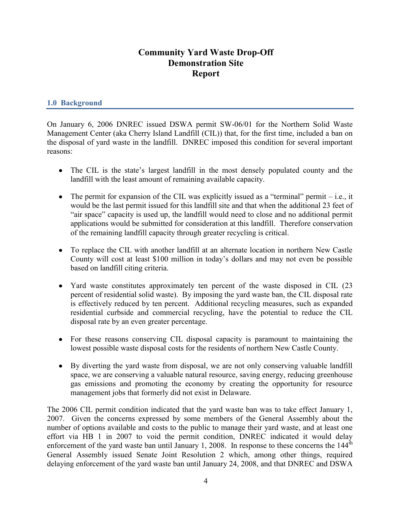### **Community Yard Waste Drop-Off Demonstration Site Report**

#### **1.0 Background**

On January 6, 2006 DNREC issued DSWA permit SW-06/01 for the Northern Solid Waste Management Center (aka Cherry Island Landfill (CIL)) that, for the first time, included a ban on the disposal of yard waste in the landfill. DNREC imposed this condition for several important reasons:

- The CIL is the state's largest landfill in the most densely populated county and the landfill with the least amount of remaining available capacity.
- $\bullet$  The permit for expansion of the CIL was explicitly issued as a "terminal" permit  $-i.e.,$  it would be the last permit issued for this landfill site and that when the additional 23 feet of "air space" capacity is used up, the landfill would need to close and no additional permit applications would be submitted for consideration at this landfill. Therefore conservation of the remaining landfill capacity through greater recycling is critical.
- To replace the CIL with another landfill at an alternate location in northern New Castle County will cost at least \$100 million in today's dollars and may not even be possible based on landfill citing criteria.
- Yard waste constitutes approximately ten percent of the waste disposed in CIL (23) percent of residential solid waste). By imposing the yard waste ban, the CIL disposal rate is effectively reduced by ten percent. Additional recycling measures, such as expanded residential curbside and commercial recycling, have the potential to reduce the CIL disposal rate by an even greater percentage.
- For these reasons conserving CIL disposal capacity is paramount to maintaining the lowest possible waste disposal costs for the residents of northern New Castle County.
- By diverting the yard waste from disposal, we are not only conserving valuable landfill space, we are conserving a valuable natural resource, saving energy, reducing greenhouse gas emissions and promoting the economy by creating the opportunity for resource management jobs that formerly did not exist in Delaware.

The 2006 CIL permit condition indicated that the yard waste ban was to take effect January 1, 2007. Given the concerns expressed by some members of the General Assembly about the number of options available and costs to the public to manage their yard waste, and at least one effort via HB 1 in 2007 to void the permit condition, DNREC indicated it would delay enforcement of the yard waste ban until January 1, 2008. In response to these concerns the  $144<sup>th</sup>$ General Assembly issued Senate Joint Resolution 2 which, among other things, required delaying enforcement of the yard waste ban until January 24, 2008, and that DNREC and DSWA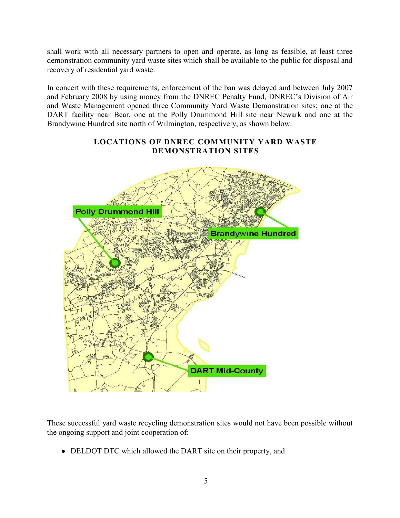shall work with all necessary partners to open and operate, as long as feasible, at least three demonstration community yard waste sites which shall be available to the public for disposal and recovery of residential yard waste.

In concert with these requirements, enforcement of the ban was delayed and between July 2007 and February 2008 by using money from the DNREC Penalty Fund, DNREC's Division of Air and Waste Management opened three Community Yard Waste Demonstration sites; one at the DART facility near Bear, one at the Polly Drummond Hill site near Newark and one at the Brandywine Hundred site north of Wilmington, respectively, as shown below.

#### **LOCATIONS OF DNREC COMMUNITY YARD WASTE DEMONSTRATION SITES**



These successful yard waste recycling demonstration sites would not have been possible without the ongoing support and joint cooperation of:

• DELDOT DTC which allowed the DART site on their property, and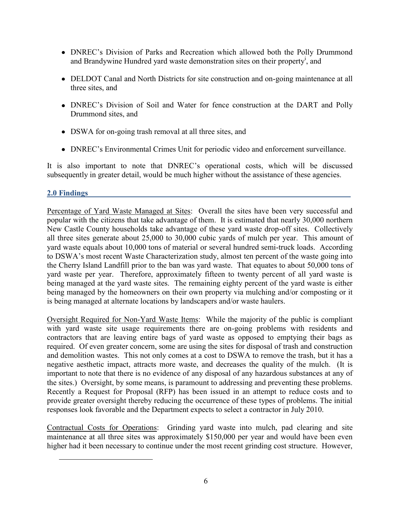- DNREC's Division of Parks and Recreation which allowed both the Polly Drummond and Brandywine Hundred yard waste demonstration sites on their property<sup>i</sup>, and
- DELDOT Canal and North Districts for site construction and on-going maintenance at all three sites, and
- DNREC's Division of Soil and Water for fence construction at the DART and Polly Drummond sites, and
- DSWA for on-going trash removal at all three sites, and
- DNREC's Environmental Crimes Unit for periodic video and enforcement surveillance.

It is also important to note that DNREC's operational costs, which will be discussed subsequently in greater detail, would be much higher without the assistance of these agencies.

#### **2.0 Findings**

 $\overline{\phantom{a}}$ 

Percentage of Yard Waste Managed at Sites: Overall the sites have been very successful and popular with the citizens that take advantage of them. It is estimated that nearly 30,000 northern New Castle County households take advantage of these yard waste drop-off sites. Collectively all three sites generate about 25,000 to 30,000 cubic yards of mulch per year. This amount of yard waste equals about 10,000 tons of material or several hundred semi-truck loads. According to DSWA's most recent Waste Characterization study, almost ten percent of the waste going into the Cherry Island Landfill prior to the ban was yard waste. That equates to about 50,000 tons of yard waste per year. Therefore, approximately fifteen to twenty percent of all yard waste is being managed at the yard waste sites. The remaining eighty percent of the yard waste is either being managed by the homeowners on their own property via mulching and/or composting or it is being managed at alternate locations by landscapers and/or waste haulers.

Oversight Required for Non-Yard Waste Items: While the majority of the public is compliant with yard waste site usage requirements there are on-going problems with residents and contractors that are leaving entire bags of yard waste as opposed to emptying their bags as required. Of even greater concern, some are using the sites for disposal of trash and construction and demolition wastes. This not only comes at a cost to DSWA to remove the trash, but it has a negative aesthetic impact, attracts more waste, and decreases the quality of the mulch. (It is important to note that there is no evidence of any disposal of any hazardous substances at any of the sites.) Oversight, by some means, is paramount to addressing and preventing these problems. Recently a Request for Proposal (RFP) has been issued in an attempt to reduce costs and to provide greater oversight thereby reducing the occurrence of these types of problems. The initial responses look favorable and the Department expects to select a contractor in July 2010.

Contractual Costs for Operations: Grinding yard waste into mulch, pad clearing and site maintenance at all three sites was approximately \$150,000 per year and would have been even higher had it been necessary to continue under the most recent grinding cost structure. However,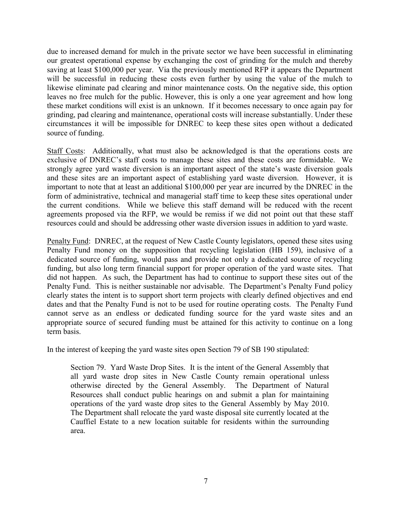due to increased demand for mulch in the private sector we have been successful in eliminating our greatest operational expense by exchanging the cost of grinding for the mulch and thereby saving at least \$100,000 per year. Via the previously mentioned RFP it appears the Department will be successful in reducing these costs even further by using the value of the mulch to likewise eliminate pad clearing and minor maintenance costs. On the negative side, this option leaves no free mulch for the public. However, this is only a one year agreement and how long these market conditions will exist is an unknown. If it becomes necessary to once again pay for grinding, pad clearing and maintenance, operational costs will increase substantially. Under these circumstances it will be impossible for DNREC to keep these sites open without a dedicated source of funding.

Staff Costs: Additionally, what must also be acknowledged is that the operations costs are exclusive of DNREC's staff costs to manage these sites and these costs are formidable. We strongly agree yard waste diversion is an important aspect of the state's waste diversion goals and these sites are an important aspect of establishing yard waste diversion. However, it is important to note that at least an additional \$100,000 per year are incurred by the DNREC in the form of administrative, technical and managerial staff time to keep these sites operational under the current conditions. While we believe this staff demand will be reduced with the recent agreements proposed via the RFP, we would be remiss if we did not point out that these staff resources could and should be addressing other waste diversion issues in addition to yard waste.

Penalty Fund: DNREC, at the request of New Castle County legislators, opened these sites using Penalty Fund money on the supposition that recycling legislation (HB 159), inclusive of a dedicated source of funding, would pass and provide not only a dedicated source of recycling funding, but also long term financial support for proper operation of the yard waste sites. That did not happen. As such, the Department has had to continue to support these sites out of the Penalty Fund. This is neither sustainable nor advisable. The Department's Penalty Fund policy clearly states the intent is to support short term projects with clearly defined objectives and end dates and that the Penalty Fund is not to be used for routine operating costs. The Penalty Fund cannot serve as an endless or dedicated funding source for the yard waste sites and an appropriate source of secured funding must be attained for this activity to continue on a long term basis.

In the interest of keeping the yard waste sites open Section 79 of SB 190 stipulated:

Section 79. Yard Waste Drop Sites. It is the intent of the General Assembly that all yard waste drop sites in New Castle County remain operational unless otherwise directed by the General Assembly. The Department of Natural Resources shall conduct public hearings on and submit a plan for maintaining operations of the yard waste drop sites to the General Assembly by May 2010. The Department shall relocate the yard waste disposal site currently located at the Cauffiel Estate to a new location suitable for residents within the surrounding area.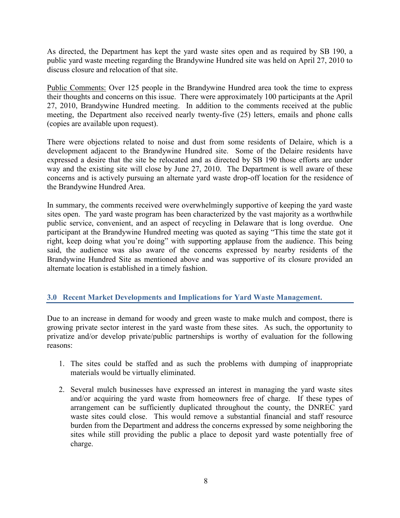As directed, the Department has kept the yard waste sites open and as required by SB 190, a public yard waste meeting regarding the Brandywine Hundred site was held on April 27, 2010 to discuss closure and relocation of that site.

Public Comments: Over 125 people in the Brandywine Hundred area took the time to express their thoughts and concerns on this issue. There were approximately 100 participants at the April 27, 2010, Brandywine Hundred meeting. In addition to the comments received at the public meeting, the Department also received nearly twenty-five (25) letters, emails and phone calls (copies are available upon request).

There were objections related to noise and dust from some residents of Delaire, which is a development adjacent to the Brandywine Hundred site. Some of the Delaire residents have expressed a desire that the site be relocated and as directed by SB 190 those efforts are under way and the existing site will close by June 27, 2010. The Department is well aware of these concerns and is actively pursuing an alternate yard waste drop-off location for the residence of the Brandywine Hundred Area.

In summary, the comments received were overwhelmingly supportive of keeping the yard waste sites open. The yard waste program has been characterized by the vast majority as a worthwhile public service, convenient, and an aspect of recycling in Delaware that is long overdue. One participant at the Brandywine Hundred meeting was quoted as saying "This time the state got it right, keep doing what you're doing" with supporting applause from the audience. This being said, the audience was also aware of the concerns expressed by nearby residents of the Brandywine Hundred Site as mentioned above and was supportive of its closure provided an alternate location is established in a timely fashion.

#### **3.0 Recent Market Developments and Implications for Yard Waste Management.**

Due to an increase in demand for woody and green waste to make mulch and compost, there is growing private sector interest in the yard waste from these sites. As such, the opportunity to privatize and/or develop private/public partnerships is worthy of evaluation for the following reasons:

- 1. The sites could be staffed and as such the problems with dumping of inappropriate materials would be virtually eliminated.
- 2. Several mulch businesses have expressed an interest in managing the yard waste sites and/or acquiring the yard waste from homeowners free of charge. If these types of arrangement can be sufficiently duplicated throughout the county, the DNREC yard waste sites could close. This would remove a substantial financial and staff resource burden from the Department and address the concerns expressed by some neighboring the sites while still providing the public a place to deposit yard waste potentially free of charge.